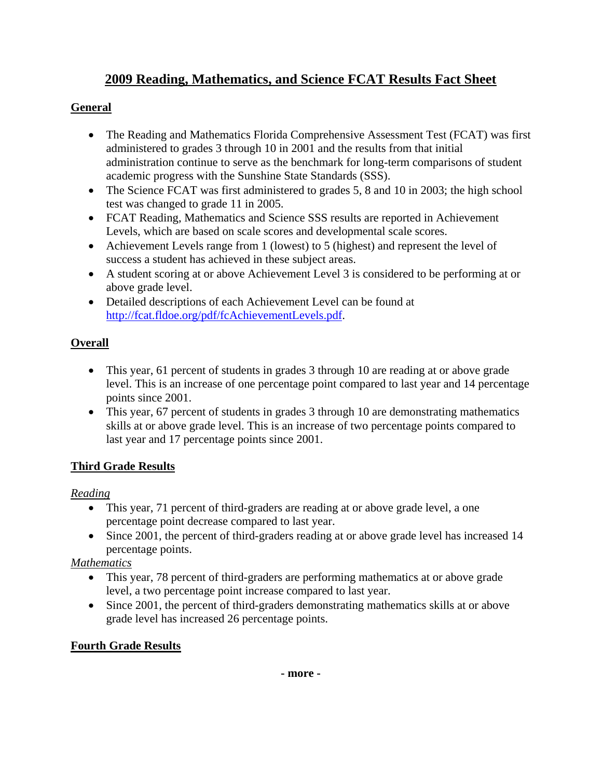# **2009 Reading, Mathematics, and Science FCAT Results Fact Sheet**

## **General**

- The Reading and Mathematics Florida Comprehensive Assessment Test (FCAT) was first administered to grades 3 through 10 in 2001 and the results from that initial administration continue to serve as the benchmark for long-term comparisons of student academic progress with the Sunshine State Standards (SSS).
- The Science FCAT was first administered to grades 5, 8 and 10 in 2003; the high school test was changed to grade 11 in 2005.
- FCAT Reading, Mathematics and Science SSS results are reported in Achievement Levels, which are based on scale scores and developmental scale scores.
- Achievement Levels range from 1 (lowest) to 5 (highest) and represent the level of success a student has achieved in these subject areas.
- A student scoring at or above Achievement Level 3 is considered to be performing at or above grade level.
- Detailed descriptions of each Achievement Level can be found at <http://fcat.fldoe.org/pdf/fcAchievementLevels.pdf>.

## **Overall**

- This year, 61 percent of students in grades 3 through 10 are reading at or above grade level. This is an increase of one percentage point compared to last year and 14 percentage points since 2001.
- This year, 67 percent of students in grades 3 through 10 are demonstrating mathematics skills at or above grade level. This is an increase of two percentage points compared to last year and 17 percentage points since 2001.

## **Third Grade Results**

### *Reading*

- This year, 71 percent of third-graders are reading at or above grade level, a one percentage point decrease compared to last year.
- Since 2001, the percent of third-graders reading at or above grade level has increased 14 percentage points.

## *Mathematics*

- This year, 78 percent of third-graders are performing mathematics at or above grade level, a two percentage point increase compared to last year.
- Since 2001, the percent of third-graders demonstrating mathematics skills at or above grade level has increased 26 percentage points.

## **Fourth Grade Results**

**- more -**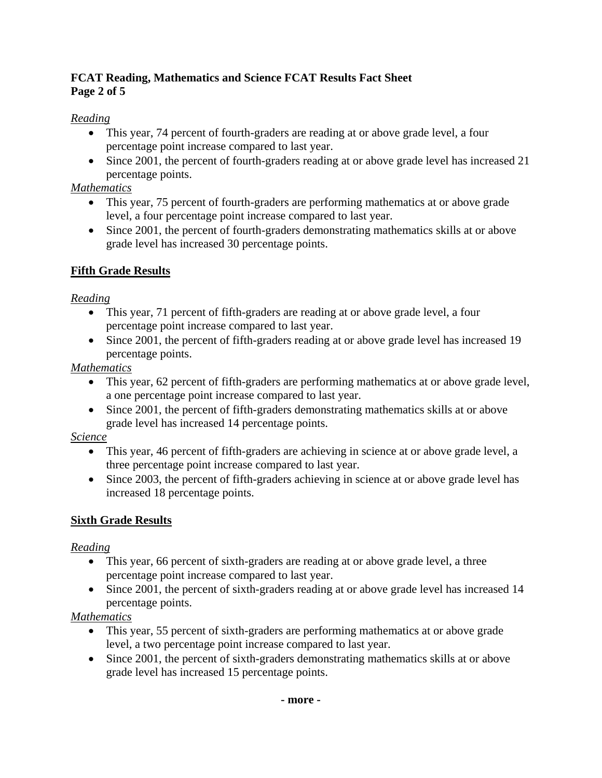### **FCAT Reading, Mathematics and Science FCAT Results Fact Sheet Page 2 of 5**

## *Reading*

- This year, 74 percent of fourth-graders are reading at or above grade level, a four percentage point increase compared to last year.
- Since 2001, the percent of fourth-graders reading at or above grade level has increased 21 percentage points.

## *Mathematics*

- This year, 75 percent of fourth-graders are performing mathematics at or above grade level, a four percentage point increase compared to last year.
- Since 2001, the percent of fourth-graders demonstrating mathematics skills at or above grade level has increased 30 percentage points.

## **Fifth Grade Results**

## *Reading*

- This year, 71 percent of fifth-graders are reading at or above grade level, a four percentage point increase compared to last year.
- Since 2001, the percent of fifth-graders reading at or above grade level has increased 19 percentage points.

## *Mathematics*

- This year, 62 percent of fifth-graders are performing mathematics at or above grade level, a one percentage point increase compared to last year.
- Since 2001, the percent of fifth-graders demonstrating mathematics skills at or above grade level has increased 14 percentage points.

### *Science*

- This year, 46 percent of fifth-graders are achieving in science at or above grade level, a three percentage point increase compared to last year.
- Since 2003, the percent of fifth-graders achieving in science at or above grade level has increased 18 percentage points.

## **Sixth Grade Results**

## *Reading*

- This year, 66 percent of sixth-graders are reading at or above grade level, a three percentage point increase compared to last year.
- Since 2001, the percent of sixth-graders reading at or above grade level has increased 14 percentage points.

## *Mathematics*

- This year, 55 percent of sixth-graders are performing mathematics at or above grade level, a two percentage point increase compared to last year.
- Since 2001, the percent of sixth-graders demonstrating mathematics skills at or above grade level has increased 15 percentage points.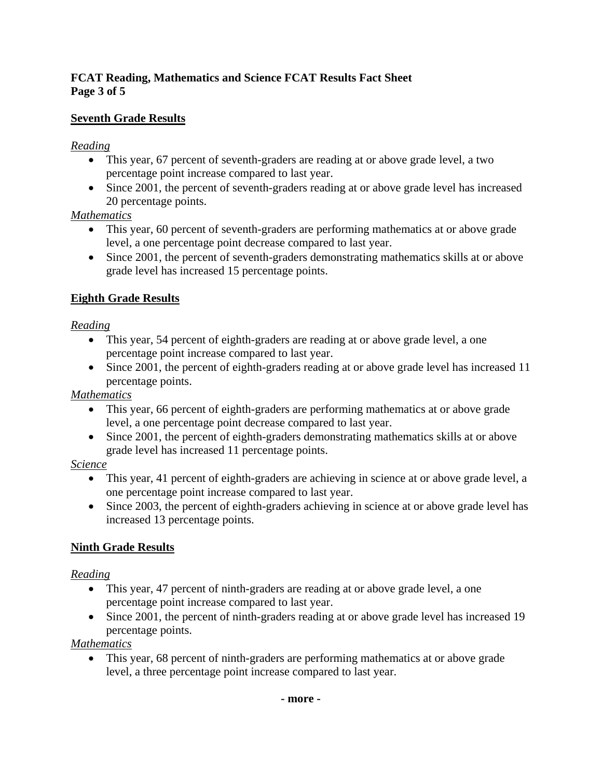### **FCAT Reading, Mathematics and Science FCAT Results Fact Sheet Page 3 of 5**

## **Seventh Grade Results**

### *Reading*

- This year, 67 percent of seventh-graders are reading at or above grade level, a two percentage point increase compared to last year.
- Since 2001, the percent of seventh-graders reading at or above grade level has increased 20 percentage points.

#### *Mathematics*

- This year, 60 percent of seventh-graders are performing mathematics at or above grade level, a one percentage point decrease compared to last year.
- Since 2001, the percent of seventh-graders demonstrating mathematics skills at or above grade level has increased 15 percentage points.

### **Eighth Grade Results**

### *Reading*

- This year, 54 percent of eighth-graders are reading at or above grade level, a one percentage point increase compared to last year.
- Since 2001, the percent of eighth-graders reading at or above grade level has increased 11 percentage points.

## *Mathematics*

- This year, 66 percent of eighth-graders are performing mathematics at or above grade level, a one percentage point decrease compared to last year.
- Since 2001, the percent of eighth-graders demonstrating mathematics skills at or above grade level has increased 11 percentage points.

## *Science*

- This year, 41 percent of eighth-graders are achieving in science at or above grade level, a one percentage point increase compared to last year.
- Since 2003, the percent of eighth-graders achieving in science at or above grade level has increased 13 percentage points.

## **Ninth Grade Results**

## *Reading*

- This year, 47 percent of ninth-graders are reading at or above grade level, a one percentage point increase compared to last year.
- Since 2001, the percent of ninth-graders reading at or above grade level has increased 19 percentage points.

## *Mathematics*

• This year, 68 percent of ninth-graders are performing mathematics at or above grade level, a three percentage point increase compared to last year.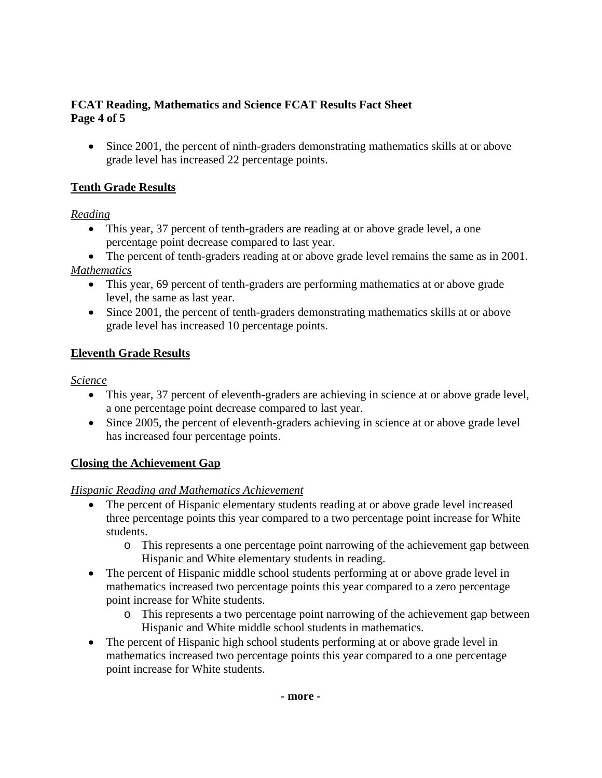#### **FCAT Reading, Mathematics and Science FCAT Results Fact Sheet Page 4 of 5**

• Since 2001, the percent of ninth-graders demonstrating mathematics skills at or above grade level has increased 22 percentage points.

## **Tenth Grade Results**

#### *Reading*

- This year, 37 percent of tenth-graders are reading at or above grade level, a one percentage point decrease compared to last year.
- The percent of tenth-graders reading at or above grade level remains the same as in 2001. *Mathematics*
	- This year, 69 percent of tenth-graders are performing mathematics at or above grade level, the same as last year.
	- Since 2001, the percent of tenth-graders demonstrating mathematics skills at or above grade level has increased 10 percentage points.

### **Eleventh Grade Results**

#### *Science*

- This year, 37 percent of eleventh-graders are achieving in science at or above grade level, a one percentage point decrease compared to last year.
- Since 2005, the percent of eleventh-graders achieving in science at or above grade level has increased four percentage points.

### **Closing the Achievement Gap**

#### *Hispanic Reading and Mathematics Achievement*

- The percent of Hispanic elementary students reading at or above grade level increased three percentage points this year compared to a two percentage point increase for White students.
	- o This represents a one percentage point narrowing of the achievement gap between Hispanic and White elementary students in reading.
- The percent of Hispanic middle school students performing at or above grade level in mathematics increased two percentage points this year compared to a zero percentage point increase for White students.
	- o This represents a two percentage point narrowing of the achievement gap between Hispanic and White middle school students in mathematics.
- The percent of Hispanic high school students performing at or above grade level in mathematics increased two percentage points this year compared to a one percentage point increase for White students.